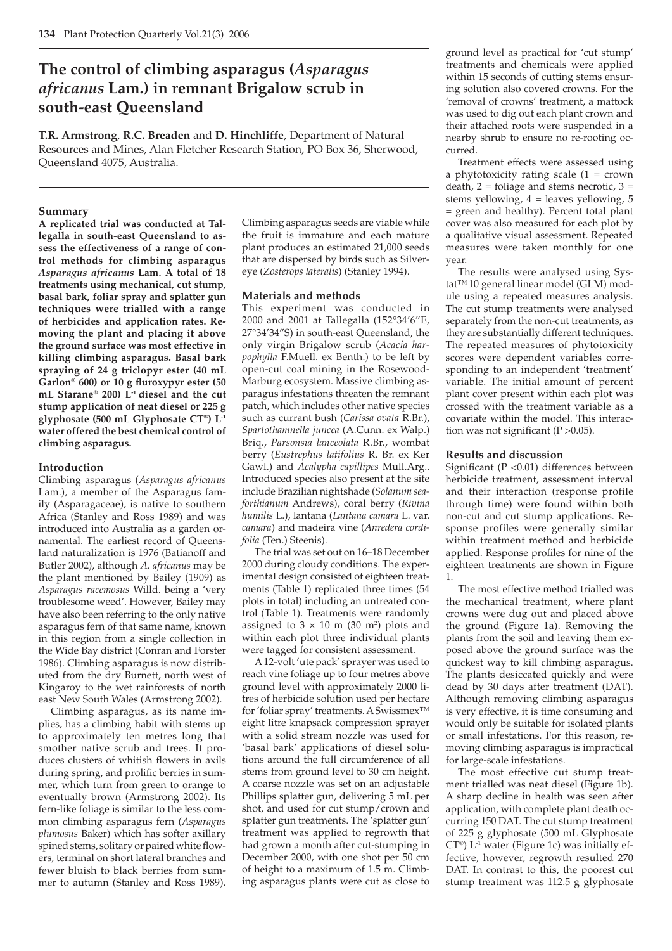# **The control of climbing asparagus (***Asparagus africanus* **Lam.) in remnant Brigalow scrub in south-east Queensland**

**T.R. Armstrong**, **R.C. Breaden** and **D. Hinchliffe**, Department of Natural Resources and Mines, Alan Fletcher Research Station, PO Box 36, Sherwood, Queensland 4075, Australia.

#### **Summary**

**A replicated trial was conducted at Tallegalla in south-east Queensland to assess the effectiveness of a range of control methods for climbing asparagus**  *Asparagus africanus* **Lam. A total of 18 treatments using mechanical, cut stump, basal bark, foliar spray and splatter gun techniques were trialled with a range of herbicides and application rates. Removing the plant and placing it above the ground surface was most effective in killing climbing asparagus. Basal bark spraying of 24 g triclopyr ester (40 mL**  Garlon<sup>®</sup> 600) or 10 g fluroxypyr ester (50 **mL Starane® 200) L-1 diesel and the cut stump application of neat diesel or 225 g glyphosate (500 mL Glyphosate CT®) L-1 water offered the best chemical control of climbing asparagus.**

## **Introduction**

Climbing asparagus (*Asparagus africanus* Lam.), a member of the Asparagus family (Asparagaceae), is native to southern Africa (Stanley and Ross 1989) and was introduced into Australia as a garden ornamental. The earliest record of Queensland naturalization is 1976 (Batianoff and Butler 2002), although *A. africanus* may be the plant mentioned by Bailey (1909) as *Asparagus racemosus* Willd. being a 'very troublesome weed'. However, Bailey may have also been referring to the only native asparagus fern of that same name, known in this region from a single collection in the Wide Bay district (Conran and Forster 1986). Climbing asparagus is now distributed from the dry Burnett, north west of Kingaroy to the wet rainforests of north east New South Wales (Armstrong 2002).

Climbing asparagus, as its name implies, has a climbing habit with stems up to approximately ten metres long that smother native scrub and trees. It produces clusters of whitish flowers in axils during spring, and prolific berries in summer, which turn from green to orange to eventually brown (Armstrong 2002). Its fern-like foliage is similar to the less common climbing asparagus fern (*Asparagus plumosus* Baker) which has softer axillary spined stems, solitary or paired white flowers, terminal on short lateral branches and fewer bluish to black berries from summer to autumn (Stanley and Ross 1989). Climbing asparagus seeds are viable while the fruit is immature and each mature plant produces an estimated 21,000 seeds that are dispersed by birds such as Silvereye (*Zosterops lateralis*) (Stanley 1994).

## **Materials and methods**

This experiment was conducted in 2000 and 2001 at Tallegalla (152°34'6"E, 27°34'34"S) in south-east Queensland, the only virgin Brigalow scrub (*Acacia harpophylla* F.Muell. ex Benth.) to be left by open-cut coal mining in the Rosewood-Marburg ecosystem. Massive climbing asparagus infestations threaten the remnant patch, which includes other native species such as currant bush (*Carissa ovata* R.Br.), *Spartothamnella juncea* (A.Cunn. ex Walp.) Briq., *Parsonsia lanceolata* R.Br., wombat berry (*Eustrephus latifolius* R. Br. ex Ker Gawl.) and *Acalypha capillipes* Mull.Arg.. Introduced species also present at the site include Brazilian nightshade (*Solanum seaforthianum* Andrews), coral berry (*Rivina humilis* L.), lantana (*Lantana camara* L. var. *camara*) and madeira vine (*Anredera cordifolia* (Ten.) Steenis)*.*

The trial was set out on 16–18 December 2000 during cloudy conditions. The experimental design consisted of eighteen treatments (Table 1) replicated three times (54 plots in total) including an untreated control (Table 1). Treatments were randomly assigned to  $3 \times 10$  m (30 m<sup>2</sup>) plots and within each plot three individual plants were tagged for consistent assessment.

A 12-volt 'ute pack' sprayer was used to reach vine foliage up to four metres above ground level with approximately 2000 litres of herbicide solution used per hectare for 'foliar spray' treatments. A Swissmex™ eight litre knapsack compression sprayer with a solid stream nozzle was used for 'basal bark' applications of diesel solutions around the full circumference of all stems from ground level to 30 cm height. A coarse nozzle was set on an adjustable Phillips splatter gun, delivering 5 mL per shot, and used for cut stump/crown and splatter gun treatments. The 'splatter gun' treatment was applied to regrowth that had grown a month after cut-stumping in December 2000, with one shot per 50 cm of height to a maximum of 1.5 m. Climbing asparagus plants were cut as close to ground level as practical for 'cut stump' treatments and chemicals were applied within 15 seconds of cutting stems ensuring solution also covered crowns. For the 'removal of crowns' treatment, a mattock was used to dig out each plant crown and their attached roots were suspended in a nearby shrub to ensure no re-rooting occurred.

Treatment effects were assessed using a phytotoxicity rating scale  $(1 = \text{crown})$ death,  $2 =$  foliage and stems necrotic,  $3 =$ stems yellowing,  $4 =$  leaves yellowing,  $5$ = green and healthy). Percent total plant cover was also measured for each plot by a qualitative visual assessment. Repeated measures were taken monthly for one year.

The results were analysed using Systat™10 general linear model (GLM) module using a repeated measures analysis. The cut stump treatments were analysed separately from the non-cut treatments, as they are substantially different techniques. The repeated measures of phytotoxicity scores were dependent variables corresponding to an independent 'treatment' variable. The initial amount of percent plant cover present within each plot was crossed with the treatment variable as a covariate within the model. This interaction was not significant ( $P > 0.05$ ).

## **Results and discussion**

Significant ( $P$  <0.01) differences between herbicide treatment, assessment interval and their interaction (response profile through time) were found within both non-cut and cut stump applications. Response profiles were generally similar within treatment method and herbicide applied. Response profiles for nine of the eighteen treatments are shown in Figure 1.

The most effective method trialled was the mechanical treatment, where plant crowns were dug out and placed above the ground (Figure 1a). Removing the plants from the soil and leaving them exposed above the ground surface was the quickest way to kill climbing asparagus. The plants desiccated quickly and were dead by 30 days after treatment (DAT). Although removing climbing asparagus is very effective, it is time consuming and would only be suitable for isolated plants or small infestations. For this reason, removing climbing asparagus is impractical for large-scale infestations.

The most effective cut stump treatment trialled was neat diesel (Figure 1b). A sharp decline in health was seen after application, with complete plant death occurring 150 DAT. The cut stump treatment of 225 g glyphosate (500 mL Glyphosate  $CT^{\circledast}$ ) L<sup>-1</sup> water (Figure 1c) was initially effective, however, regrowth resulted 270 DAT. In contrast to this, the poorest cut stump treatment was 112.5 g glyphosate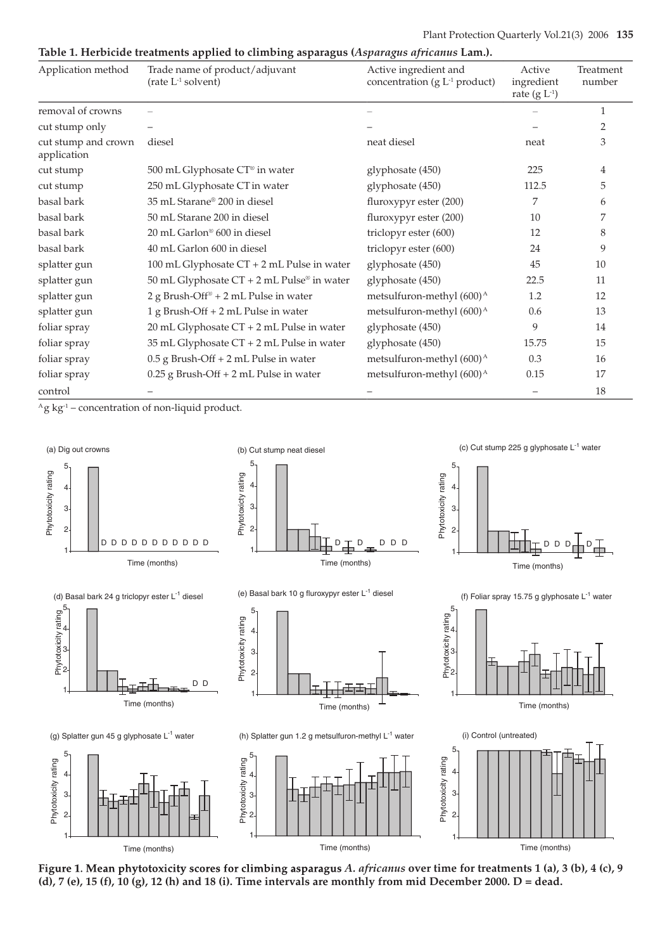## Table 1. Herbicide treatments applied to climbing asparagus (Asparagus africanus Lam.).

| Application method                 | Trade name of product/adjuvant<br>(rate $L^{-1}$ solvent) | Active ingredient and<br>concentration ( $g L-1$ product) | Active<br>ingredient<br>rate $(g L^{-1})$ | Treatment<br>number |
|------------------------------------|-----------------------------------------------------------|-----------------------------------------------------------|-------------------------------------------|---------------------|
| removal of crowns                  |                                                           |                                                           |                                           | 1                   |
| cut stump only                     |                                                           |                                                           |                                           | 2                   |
| cut stump and crown<br>application | diesel                                                    | neat diesel                                               | neat                                      | 3                   |
| cut stump                          | 500 mL Glyphosate CT® in water                            | glyphosate (450)                                          | 225                                       | 4                   |
| cut stump                          | 250 mL Glyphosate CT in water                             | glyphosate (450)                                          | 112.5                                     | 5                   |
| basal bark                         | 35 mL Starane® 200 in diesel                              | fluroxypyr ester (200)                                    | 7                                         | 6                   |
| basal bark                         | 50 mL Starane 200 in diesel                               | fluroxypyr ester (200)                                    | 10                                        | 7                   |
| basal bark                         | 20 mL Garlon® 600 in diesel                               | triclopyr ester (600)                                     | 12                                        | 8                   |
| basal bark                         | 40 mL Garlon 600 in diesel                                | triclopyr ester (600)                                     | 24                                        | 9                   |
| splatter gun                       | 100 mL Glyphosate CT + 2 mL Pulse in water                | glyphosate (450)                                          | 45                                        | 10                  |
| splatter gun                       | 50 mL Glyphosate CT + 2 mL Pulse® in water                | glyphosate (450)                                          | 22.5                                      | 11                  |
| splatter gun                       | 2 g Brush-Off <sup>®</sup> + 2 mL Pulse in water          | metsulfuron-methyl (600) <sup>A</sup>                     | $1.2\,$                                   | 12                  |
| splatter gun                       | 1 g Brush-Off + 2 mL Pulse in water                       | metsulfuron-methyl (600) <sup>A</sup>                     | 0.6                                       | 13                  |
| foliar spray                       | 20 mL Glyphosate CT + 2 mL Pulse in water                 | glyphosate (450)                                          | 9                                         | 14                  |
| foliar spray                       | 35 mL Glyphosate CT + 2 mL Pulse in water                 | glyphosate (450)                                          | 15.75                                     | 15                  |
| foliar spray                       | 0.5 g Brush-Off + 2 mL Pulse in water                     | metsulfuron-methyl (600) <sup>A</sup>                     | 0.3                                       | 16                  |
| foliar spray                       | $0.25$ g Brush-Off + 2 mL Pulse in water                  | metsulfuron-methyl (600) <sup>A</sup>                     | 0.15                                      | 17                  |
| control                            |                                                           |                                                           |                                           | 18                  |

 ${}^{\text{A}}$ g kg<sup>-1</sup> – concentration of non-liquid product.



Figure 1. Mean phytotoxicity scores for climbing asparagus A. africanus over time for treatments 1 (a), 3 (b), 4 (c), 9 (d), 7 (e), 15 (f), 10 (g), 12 (h) and 18 (i). Time intervals are monthly from mid December 2000. D = dead.